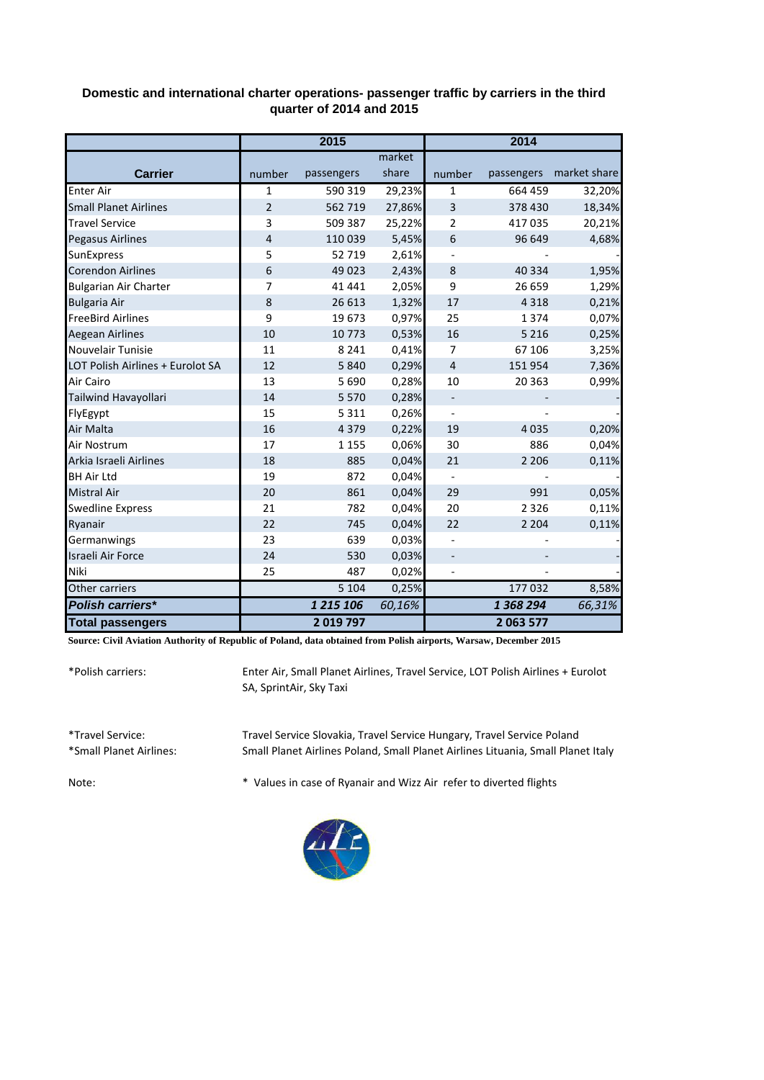| Domestic and international charter operations- passenger traffic by carriers in the third |
|-------------------------------------------------------------------------------------------|
| quarter of 2014 and 2015                                                                  |

|                                  | 2015           |            |        | 2014                     |            |              |
|----------------------------------|----------------|------------|--------|--------------------------|------------|--------------|
|                                  |                |            | market |                          |            |              |
| <b>Carrier</b>                   | number         | passengers | share  | number                   | passengers | market share |
| <b>Enter Air</b>                 | 1              | 590 319    | 29,23% | 1                        | 664 459    | 32,20%       |
| <b>Small Planet Airlines</b>     | $\overline{2}$ | 562 719    | 27,86% | 3                        | 378 430    | 18,34%       |
| <b>Travel Service</b>            | 3              | 509 387    | 25,22% | 2                        | 417035     | 20,21%       |
| Pegasus Airlines                 | $\overline{4}$ | 110 039    | 5,45%  | 6                        | 96 649     | 4,68%        |
| <b>SunExpress</b>                | 5              | 52 719     | 2,61%  |                          |            |              |
| <b>Corendon Airlines</b>         | 6              | 49 0 23    | 2,43%  | 8                        | 40 3 34    | 1,95%        |
| <b>Bulgarian Air Charter</b>     | 7              | 41 441     | 2,05%  | 9                        | 26 659     | 1,29%        |
| <b>Bulgaria Air</b>              | 8              | 26 613     | 1,32%  | 17                       | 4 3 1 8    | 0,21%        |
| <b>FreeBird Airlines</b>         | 9              | 19673      | 0,97%  | 25                       | 1374       | 0,07%        |
| <b>Aegean Airlines</b>           | 10             | 10 773     | 0,53%  | 16                       | 5 2 1 6    | 0,25%        |
| Nouvelair Tunisie                | 11             | 8 2 4 1    | 0,41%  | $\overline{7}$           | 67 106     | 3,25%        |
| LOT Polish Airlines + Eurolot SA | 12             | 5840       | 0,29%  | $\overline{4}$           | 151 954    | 7,36%        |
| Air Cairo                        | 13             | 5 6 9 0    | 0,28%  | 10                       | 20 363     | 0,99%        |
| Tailwind Havayollari             | 14             | 5 5 7 0    | 0,28%  | $\overline{\phantom{m}}$ |            |              |
| FlyEgypt                         | 15             | 5 3 1 1    | 0,26%  |                          |            |              |
| Air Malta                        | 16             | 4 3 7 9    | 0,22%  | 19                       | 4 0 3 5    | 0,20%        |
| Air Nostrum                      | 17             | 1 1 5 5    | 0,06%  | 30                       | 886        | 0,04%        |
| Arkia Israeli Airlines           | 18             | 885        | 0,04%  | 21                       | 2 2 0 6    | 0,11%        |
| <b>BH Air Ltd</b>                | 19             | 872        | 0,04%  |                          |            |              |
| <b>Mistral Air</b>               | 20             | 861        | 0,04%  | 29                       | 991        | 0,05%        |
| <b>Swedline Express</b>          | 21             | 782        | 0,04%  | 20                       | 2 3 2 6    | 0,11%        |
| Ryanair                          | 22             | 745        | 0,04%  | 22                       | 2 2 0 4    | 0,11%        |
| Germanwings                      | 23             | 639        | 0,03%  |                          |            |              |
| Israeli Air Force                | 24             | 530        | 0,03%  |                          |            |              |
| <b>Niki</b>                      | 25             | 487        | 0,02%  |                          |            |              |
| Other carriers                   |                | 5 1 0 4    | 0,25%  |                          | 177032     | 8,58%        |
| Polish carriers*                 |                | 1 215 106  | 60,16% |                          | 1 368 294  | 66,31%       |
| <b>Total passengers</b>          |                | 2019797    |        |                          | 2 063 577  |              |

**Source: Civil Aviation Authority of Republic of Poland, data obtained from Polish airports, Warsaw, December 2015**

\*Polish carriers:

Enter Air, Small Planet Airlines, Travel Service, LOT Polish Airlines + Eurolot SA, SprintAir, Sky Taxi

| *Travel Service:        | Travel Service Slovakia, Travel Service Hungary, Travel Service Poland           |
|-------------------------|----------------------------------------------------------------------------------|
| *Small Planet Airlines: | Small Planet Airlines Poland, Small Planet Airlines Lituania, Small Planet Italy |
| Note:                   | * Values in case of Ryanair and Wizz Air refer to diverted flights               |